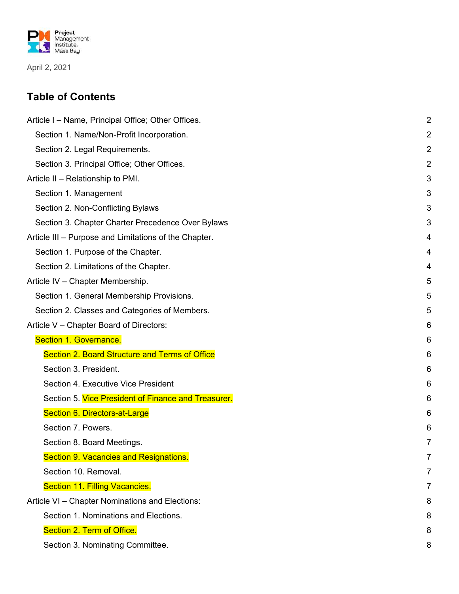

April 2, 2021

#### **Table of Contents**

| Article I – Name, Principal Office; Other Offices.    | $\overline{2}$ |
|-------------------------------------------------------|----------------|
| Section 1. Name/Non-Profit Incorporation.             | $\overline{2}$ |
| Section 2. Legal Requirements.                        | $\overline{2}$ |
| Section 3. Principal Office; Other Offices.           | $\overline{c}$ |
| Article II – Relationship to PMI.                     | 3              |
| Section 1. Management                                 | 3              |
| Section 2. Non-Conflicting Bylaws                     | 3              |
| Section 3. Chapter Charter Precedence Over Bylaws     | 3              |
| Article III – Purpose and Limitations of the Chapter. | 4              |
| Section 1. Purpose of the Chapter.                    | 4              |
| Section 2. Limitations of the Chapter.                | 4              |
| Article IV - Chapter Membership.                      | 5              |
| Section 1. General Membership Provisions.             | 5              |
| Section 2. Classes and Categories of Members.         | 5              |
| Article V - Chapter Board of Directors:               | 6              |
|                                                       |                |
| Section 1. Governance.                                | 6              |
| <b>Section 2. Board Structure and Terms of Office</b> | 6              |
| Section 3. President.                                 | 6              |
| Section 4. Executive Vice President                   | 6              |
| Section 5. Vice President of Finance and Treasurer.   | 6              |
| Section 6. Directors-at-Large                         | 6              |
| Section 7. Powers.                                    | 6              |
| Section 8. Board Meetings.                            | 7              |
| <b>Section 9. Vacancies and Resignations.</b>         | 7              |
| Section 10. Removal.                                  | 7              |
| Section 11. Filling Vacancies.                        |                |
| Article VI - Chapter Nominations and Elections:       | 8              |
| Section 1. Nominations and Elections.                 | 8              |
| Section 2. Term of Office.                            | 8              |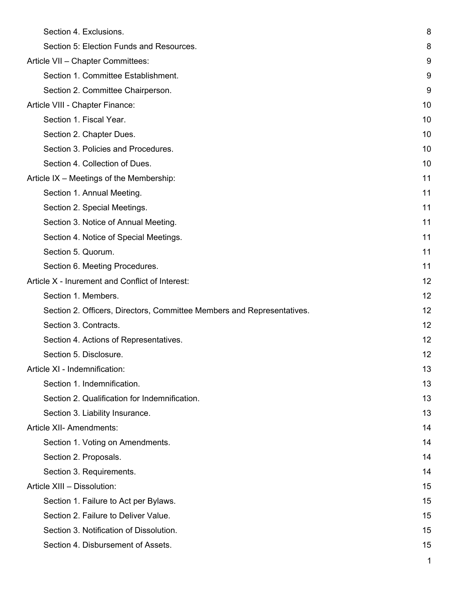| Section 4. Exclusions.                                                 | 8  |
|------------------------------------------------------------------------|----|
| Section 5: Election Funds and Resources.                               | 8  |
| Article VII - Chapter Committees:                                      | 9  |
| Section 1. Committee Establishment.                                    | 9  |
| Section 2. Committee Chairperson.                                      | 9  |
| Article VIII - Chapter Finance:                                        | 10 |
| Section 1. Fiscal Year.                                                | 10 |
| Section 2. Chapter Dues.                                               | 10 |
| Section 3. Policies and Procedures.                                    | 10 |
| Section 4. Collection of Dues.                                         | 10 |
| Article IX - Meetings of the Membership:                               | 11 |
| Section 1. Annual Meeting.                                             | 11 |
| Section 2. Special Meetings.                                           | 11 |
| Section 3. Notice of Annual Meeting.                                   | 11 |
| Section 4. Notice of Special Meetings.                                 | 11 |
| Section 5. Quorum.                                                     | 11 |
| Section 6. Meeting Procedures.                                         | 11 |
| Article X - Inurement and Conflict of Interest:                        | 12 |
| Section 1. Members.                                                    | 12 |
| Section 2. Officers, Directors, Committee Members and Representatives. | 12 |
| Section 3. Contracts.                                                  | 12 |
| Section 4. Actions of Representatives.                                 | 12 |
| Section 5. Disclosure.                                                 | 12 |
| Article XI - Indemnification:                                          | 13 |
| Section 1. Indemnification.                                            | 13 |
| Section 2. Qualification for Indemnification.                          | 13 |
| Section 3. Liability Insurance.                                        | 13 |
| Article XII- Amendments:                                               | 14 |
| Section 1. Voting on Amendments.                                       | 14 |
| Section 2. Proposals.                                                  | 14 |
| Section 3. Requirements.                                               | 14 |
| Article XIII - Dissolution:                                            | 15 |
| Section 1. Failure to Act per Bylaws.                                  | 15 |
| Section 2. Failure to Deliver Value.                                   | 15 |
| Section 3. Notification of Dissolution.                                | 15 |
| Section 4. Disbursement of Assets.                                     | 15 |
|                                                                        | 1  |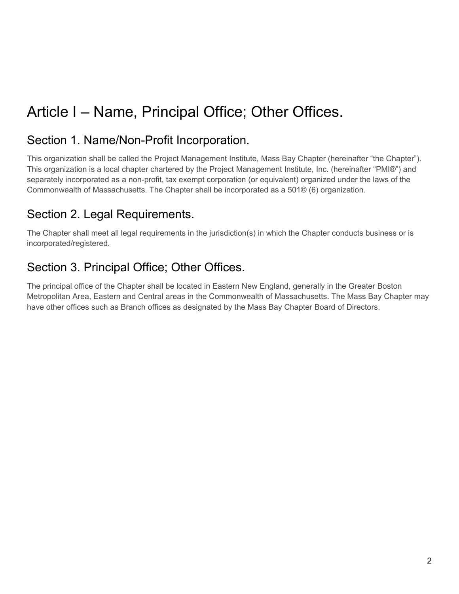# Article I – Name, Principal Office; Other Offices.

#### Section 1. Name/Non-Profit Incorporation.

This organization shall be called the Project Management Institute, Mass Bay Chapter (hereinafter "the Chapter"). This organization is a local chapter chartered by the Project Management Institute, Inc. (hereinafter "PMI®") and separately incorporated as a non-profit, tax exempt corporation (or equivalent) organized under the laws of the Commonwealth of Massachusetts. The Chapter shall be incorporated as a 501© (6) organization.

### Section 2. Legal Requirements.

The Chapter shall meet all legal requirements in the jurisdiction(s) in which the Chapter conducts business or is incorporated/registered.

### Section 3. Principal Office; Other Offices.

The principal office of the Chapter shall be located in Eastern New England, generally in the Greater Boston Metropolitan Area, Eastern and Central areas in the Commonwealth of Massachusetts. The Mass Bay Chapter may have other offices such as Branch offices as designated by the Mass Bay Chapter Board of Directors.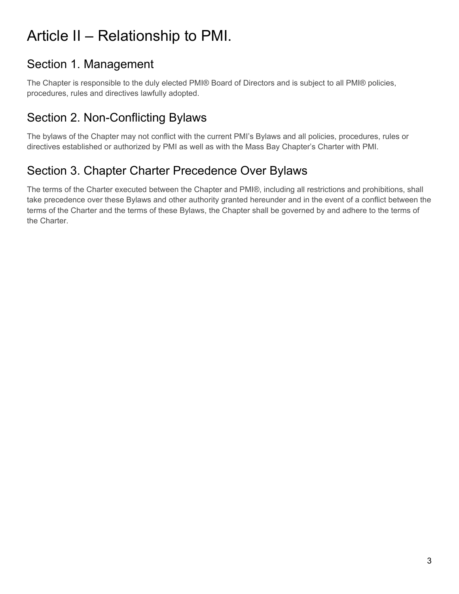# Article II – Relationship to PMI.

# Section 1. Management

The Chapter is responsible to the duly elected PMI® Board of Directors and is subject to all PMI® policies, procedures, rules and directives lawfully adopted.

# Section 2. Non-Conflicting Bylaws

The bylaws of the Chapter may not conflict with the current PMI's Bylaws and all policies, procedures, rules or directives established or authorized by PMI as well as with the Mass Bay Chapter's Charter with PMI.

# Section 3. Chapter Charter Precedence Over Bylaws

The terms of the Charter executed between the Chapter and PMI®, including all restrictions and prohibitions, shall take precedence over these Bylaws and other authority granted hereunder and in the event of a conflict between the terms of the Charter and the terms of these Bylaws, the Chapter shall be governed by and adhere to the terms of the Charter.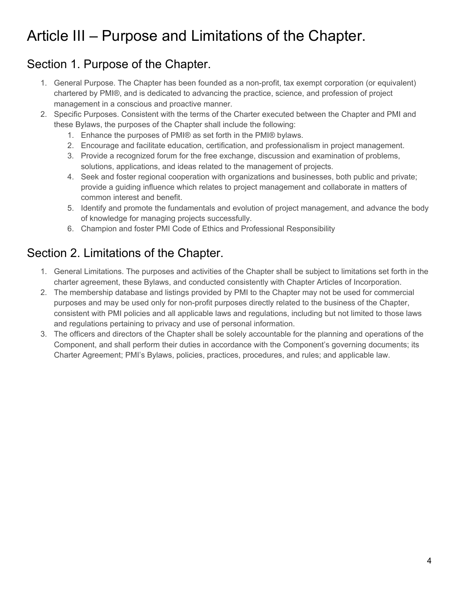# Article III – Purpose and Limitations of the Chapter.

# Section 1. Purpose of the Chapter.

- 1. General Purpose. The Chapter has been founded as a non-profit, tax exempt corporation (or equivalent) chartered by PMI®, and is dedicated to advancing the practice, science, and profession of project management in a conscious and proactive manner.
- 2. Specific Purposes. Consistent with the terms of the Charter executed between the Chapter and PMI and these Bylaws, the purposes of the Chapter shall include the following:
	- 1. Enhance the purposes of PMI® as set forth in the PMI® bylaws.
	- 2. Encourage and facilitate education, certification, and professionalism in project management.
	- 3. Provide a recognized forum for the free exchange, discussion and examination of problems, solutions, applications, and ideas related to the management of projects.
	- 4. Seek and foster regional cooperation with organizations and businesses, both public and private; provide a guiding influence which relates to project management and collaborate in matters of common interest and benefit.
	- 5. Identify and promote the fundamentals and evolution of project management, and advance the body of knowledge for managing projects successfully.
	- 6. Champion and foster PMI Code of Ethics and Professional Responsibility

# Section 2. Limitations of the Chapter.

- 1. General Limitations. The purposes and activities of the Chapter shall be subject to limitations set forth in the charter agreement, these Bylaws, and conducted consistently with Chapter Articles of Incorporation.
- 2. The membership database and listings provided by PMI to the Chapter may not be used for commercial purposes and may be used only for non-profit purposes directly related to the business of the Chapter, consistent with PMI policies and all applicable laws and regulations, including but not limited to those laws and regulations pertaining to privacy and use of personal information.
- 3. The officers and directors of the Chapter shall be solely accountable for the planning and operations of the Component, and shall perform their duties in accordance with the Component's governing documents; its Charter Agreement; PMI's Bylaws, policies, practices, procedures, and rules; and applicable law.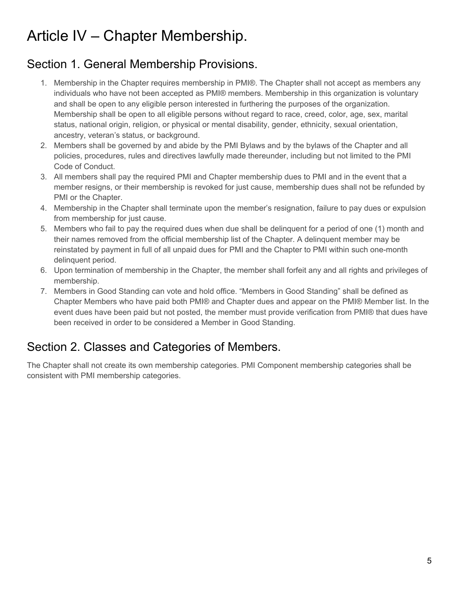# Article IV – Chapter Membership.

# Section 1. General Membership Provisions.

- 1. Membership in the Chapter requires membership in PMI®. The Chapter shall not accept as members any individuals who have not been accepted as PMI® members. Membership in this organization is voluntary and shall be open to any eligible person interested in furthering the purposes of the organization. Membership shall be open to all eligible persons without regard to race, creed, color, age, sex, marital status, national origin, religion, or physical or mental disability, gender, ethnicity, sexual orientation, ancestry, veteran's status, or background.
- 2. Members shall be governed by and abide by the PMI Bylaws and by the bylaws of the Chapter and all policies, procedures, rules and directives lawfully made thereunder, including but not limited to the PMI Code of Conduct.
- 3. All members shall pay the required PMI and Chapter membership dues to PMI and in the event that a member resigns, or their membership is revoked for just cause, membership dues shall not be refunded by PMI or the Chapter.
- 4. Membership in the Chapter shall terminate upon the member's resignation, failure to pay dues or expulsion from membership for just cause.
- 5. Members who fail to pay the required dues when due shall be delinquent for a period of one (1) month and their names removed from the official membership list of the Chapter. A delinquent member may be reinstated by payment in full of all unpaid dues for PMI and the Chapter to PMI within such one-month delinquent period.
- 6. Upon termination of membership in the Chapter, the member shall forfeit any and all rights and privileges of membership.
- 7. Members in Good Standing can vote and hold office. "Members in Good Standing" shall be defined as Chapter Members who have paid both PMI® and Chapter dues and appear on the PMI® Member list. In the event dues have been paid but not posted, the member must provide verification from PMI® that dues have been received in order to be considered a Member in Good Standing.

# Section 2. Classes and Categories of Members.

The Chapter shall not create its own membership categories. PMI Component membership categories shall be consistent with PMI membership categories.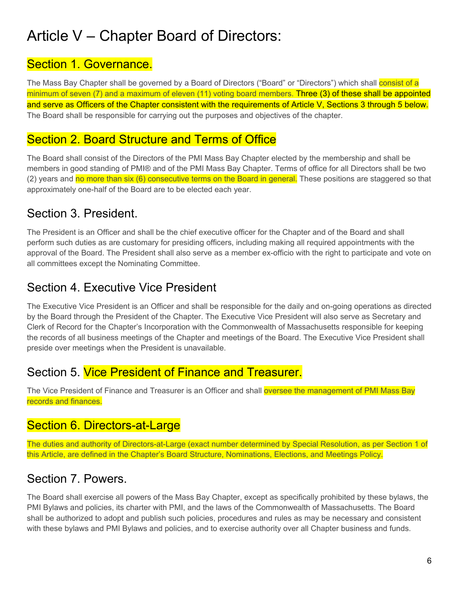# Article V – Chapter Board of Directors:

#### Section 1. Governance.

The Mass Bay Chapter shall be governed by a Board of Directors ("Board" or "Directors") which shall consist of a minimum of seven (7) and a maximum of eleven (11) voting board members. Three (3) of these shall be appointed and serve as Officers of the Chapter consistent with the requirements of Article V, Sections 3 through 5 below. The Board shall be responsible for carrying out the purposes and objectives of the chapter.

#### Section 2. Board Structure and Terms of Office

The Board shall consist of the Directors of the PMI Mass Bay Chapter elected by the membership and shall be members in good standing of PMI® and of the PMI Mass Bay Chapter. Terms of office for all Directors shall be two (2) years and no more than six (6) consecutive terms on the Board in general. These positions are staggered so that approximately one-half of the Board are to be elected each year.

# Section 3. President.

The President is an Officer and shall be the chief executive officer for the Chapter and of the Board and shall perform such duties as are customary for presiding officers, including making all required appointments with the approval of the Board. The President shall also serve as a member ex-officio with the right to participate and vote on all committees except the Nominating Committee.

# Section 4. Executive Vice President

The Executive Vice President is an Officer and shall be responsible for the daily and on-going operations as directed by the Board through the President of the Chapter. The Executive Vice President will also serve as Secretary and Clerk of Record for the Chapter's Incorporation with the Commonwealth of Massachusetts responsible for keeping the records of all business meetings of the Chapter and meetings of the Board. The Executive Vice President shall preside over meetings when the President is unavailable.

### Section 5. Vice President of Finance and Treasurer.

The Vice President of Finance and Treasurer is an Officer and shall oversee the management of PMI Mass Bay records and finances.

# Section 6. Directors-at-Large

The duties and authority of Directors-at-Large (exact number determined by Special Resolution, as per Section 1 of this Article, are defined in the Chapter's Board Structure, Nominations, Elections, and Meetings Policy.

### Section 7. Powers.

The Board shall exercise all powers of the Mass Bay Chapter, except as specifically prohibited by these bylaws, the PMI Bylaws and policies, its charter with PMI, and the laws of the Commonwealth of Massachusetts. The Board shall be authorized to adopt and publish such policies, procedures and rules as may be necessary and consistent with these bylaws and PMI Bylaws and policies, and to exercise authority over all Chapter business and funds.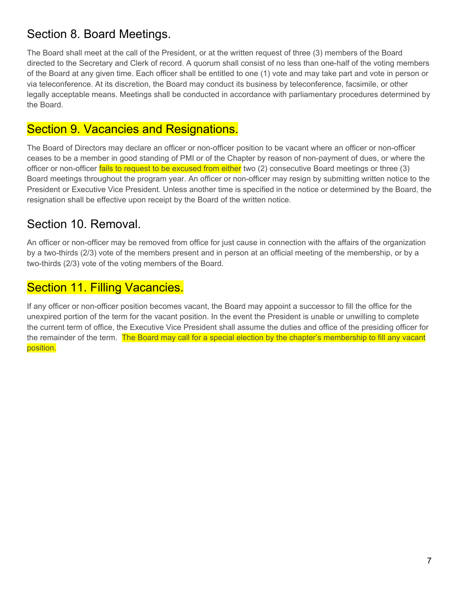### Section 8. Board Meetings.

The Board shall meet at the call of the President, or at the written request of three (3) members of the Board directed to the Secretary and Clerk of record. A quorum shall consist of no less than one-half of the voting members of the Board at any given time. Each officer shall be entitled to one (1) vote and may take part and vote in person or via teleconference. At its discretion, the Board may conduct its business by teleconference, facsimile, or other legally acceptable means. Meetings shall be conducted in accordance with parliamentary procedures determined by the Board.

#### Section 9. Vacancies and Resignations.

The Board of Directors may declare an officer or non-officer position to be vacant where an officer or non-officer ceases to be a member in good standing of PMI or of the Chapter by reason of non-payment of dues, or where the officer or non-officer fails to request to be excused from either two (2) consecutive Board meetings or three (3) Board meetings throughout the program year. An officer or non-officer may resign by submitting written notice to the President or Executive Vice President. Unless another time is specified in the notice or determined by the Board, the resignation shall be effective upon receipt by the Board of the written notice.

#### Section 10. Removal.

An officer or non-officer may be removed from office for just cause in connection with the affairs of the organization by a two-thirds (2/3) vote of the members present and in person at an official meeting of the membership, or by a two-thirds (2/3) vote of the voting members of the Board.

### Section 11. Filling Vacancies.

If any officer or non-officer position becomes vacant, the Board may appoint a successor to fill the office for the unexpired portion of the term for the vacant position. In the event the President is unable or unwilling to complete the current term of office, the Executive Vice President shall assume the duties and office of the presiding officer for the remainder of the term. The Board may call for a special election by the chapter's membership to fill any vacant position.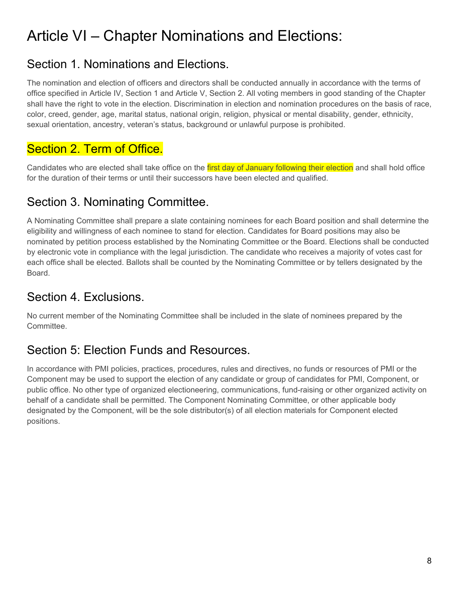# Article VI – Chapter Nominations and Elections:

### Section 1. Nominations and Elections.

The nomination and election of officers and directors shall be conducted annually in accordance with the terms of office specified in Article IV, Section 1 and Article V, Section 2. All voting members in good standing of the Chapter shall have the right to vote in the election. Discrimination in election and nomination procedures on the basis of race, color, creed, gender, age, marital status, national origin, religion, physical or mental disability, gender, ethnicity, sexual orientation, ancestry, veteran's status, background or unlawful purpose is prohibited.

### Section 2. Term of Office.

Candidates who are elected shall take office on the first day of January following their election and shall hold office for the duration of their terms or until their successors have been elected and qualified.

### Section 3. Nominating Committee.

A Nominating Committee shall prepare a slate containing nominees for each Board position and shall determine the eligibility and willingness of each nominee to stand for election. Candidates for Board positions may also be nominated by petition process established by the Nominating Committee or the Board. Elections shall be conducted by electronic vote in compliance with the legal jurisdiction. The candidate who receives a majority of votes cast for each office shall be elected. Ballots shall be counted by the Nominating Committee or by tellers designated by the Board.

#### Section 4. Exclusions.

No current member of the Nominating Committee shall be included in the slate of nominees prepared by the Committee.

# Section 5: Election Funds and Resources.

In accordance with PMI policies, practices, procedures, rules and directives, no funds or resources of PMI or the Component may be used to support the election of any candidate or group of candidates for PMI, Component, or public office. No other type of organized electioneering, communications, fund-raising or other organized activity on behalf of a candidate shall be permitted. The Component Nominating Committee, or other applicable body designated by the Component, will be the sole distributor(s) of all election materials for Component elected positions.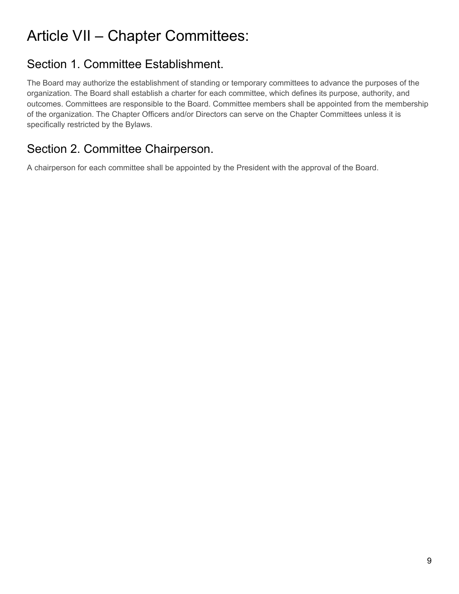# Article VII – Chapter Committees:

## Section 1. Committee Establishment.

The Board may authorize the establishment of standing or temporary committees to advance the purposes of the organization. The Board shall establish a charter for each committee, which defines its purpose, authority, and outcomes. Committees are responsible to the Board. Committee members shall be appointed from the membership of the organization. The Chapter Officers and/or Directors can serve on the Chapter Committees unless it is specifically restricted by the Bylaws.

# Section 2. Committee Chairperson.

A chairperson for each committee shall be appointed by the President with the approval of the Board.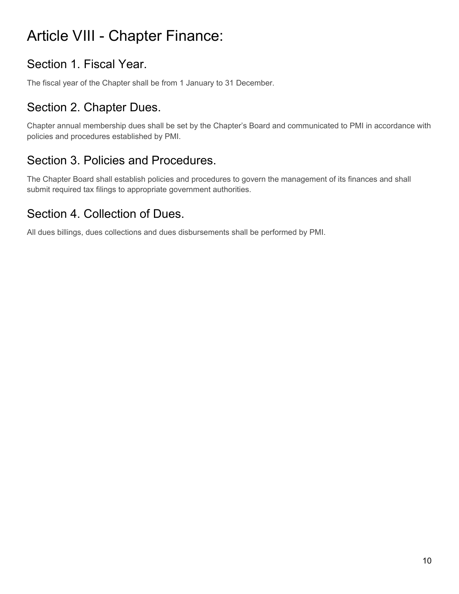# Article VIII - Chapter Finance:

# Section 1. Fiscal Year.

The fiscal year of the Chapter shall be from 1 January to 31 December.

### Section 2. Chapter Dues.

Chapter annual membership dues shall be set by the Chapter's Board and communicated to PMI in accordance with policies and procedures established by PMI.

### Section 3. Policies and Procedures.

The Chapter Board shall establish policies and procedures to govern the management of its finances and shall submit required tax filings to appropriate government authorities.

### Section 4. Collection of Dues.

All dues billings, dues collections and dues disbursements shall be performed by PMI.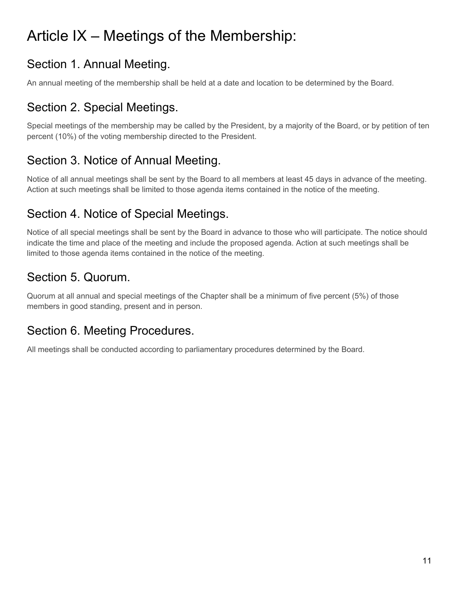# Article IX – Meetings of the Membership:

# Section 1. Annual Meeting.

An annual meeting of the membership shall be held at a date and location to be determined by the Board.

### Section 2. Special Meetings.

Special meetings of the membership may be called by the President, by a majority of the Board, or by petition of ten percent (10%) of the voting membership directed to the President.

### Section 3. Notice of Annual Meeting.

Notice of all annual meetings shall be sent by the Board to all members at least 45 days in advance of the meeting. Action at such meetings shall be limited to those agenda items contained in the notice of the meeting.

# Section 4. Notice of Special Meetings.

Notice of all special meetings shall be sent by the Board in advance to those who will participate. The notice should indicate the time and place of the meeting and include the proposed agenda. Action at such meetings shall be limited to those agenda items contained in the notice of the meeting.

# Section 5. Quorum.

Quorum at all annual and special meetings of the Chapter shall be a minimum of five percent (5%) of those members in good standing, present and in person.

# Section 6. Meeting Procedures.

All meetings shall be conducted according to parliamentary procedures determined by the Board.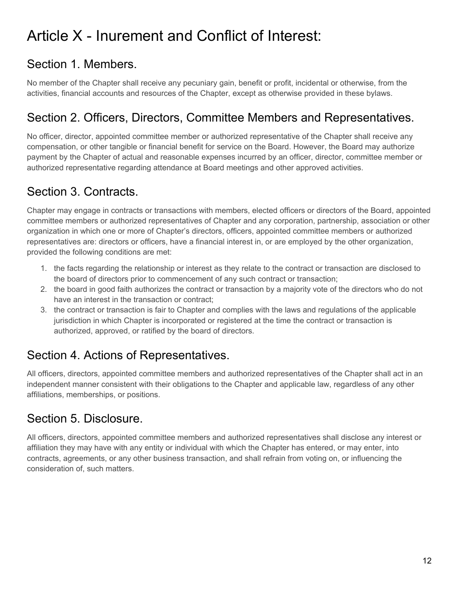# Article X - Inurement and Conflict of Interest:

# Section 1. Members.

No member of the Chapter shall receive any pecuniary gain, benefit or profit, incidental or otherwise, from the activities, financial accounts and resources of the Chapter, except as otherwise provided in these bylaws.

### Section 2. Officers, Directors, Committee Members and Representatives.

No officer, director, appointed committee member or authorized representative of the Chapter shall receive any compensation, or other tangible or financial benefit for service on the Board. However, the Board may authorize payment by the Chapter of actual and reasonable expenses incurred by an officer, director, committee member or authorized representative regarding attendance at Board meetings and other approved activities.

### Section 3. Contracts.

Chapter may engage in contracts or transactions with members, elected officers or directors of the Board, appointed committee members or authorized representatives of Chapter and any corporation, partnership, association or other organization in which one or more of Chapter's directors, officers, appointed committee members or authorized representatives are: directors or officers, have a financial interest in, or are employed by the other organization, provided the following conditions are met:

- 1. the facts regarding the relationship or interest as they relate to the contract or transaction are disclosed to the board of directors prior to commencement of any such contract or transaction;
- 2. the board in good faith authorizes the contract or transaction by a majority vote of the directors who do not have an interest in the transaction or contract;
- 3. the contract or transaction is fair to Chapter and complies with the laws and regulations of the applicable jurisdiction in which Chapter is incorporated or registered at the time the contract or transaction is authorized, approved, or ratified by the board of directors.

# Section 4. Actions of Representatives.

All officers, directors, appointed committee members and authorized representatives of the Chapter shall act in an independent manner consistent with their obligations to the Chapter and applicable law, regardless of any other affiliations, memberships, or positions.

# Section 5. Disclosure.

All officers, directors, appointed committee members and authorized representatives shall disclose any interest or affiliation they may have with any entity or individual with which the Chapter has entered, or may enter, into contracts, agreements, or any other business transaction, and shall refrain from voting on, or influencing the consideration of, such matters.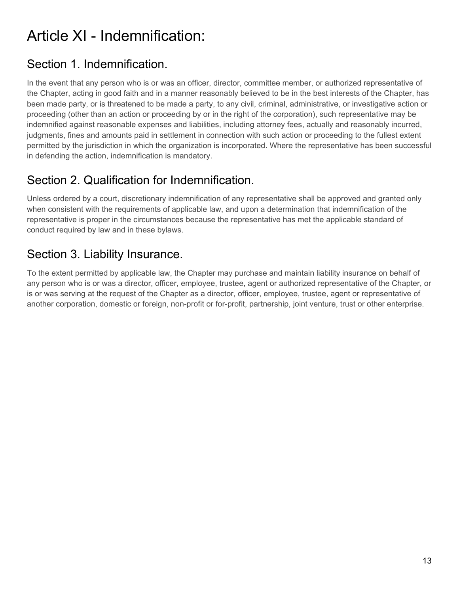# Article XI - Indemnification:

# Section 1. Indemnification.

In the event that any person who is or was an officer, director, committee member, or authorized representative of the Chapter, acting in good faith and in a manner reasonably believed to be in the best interests of the Chapter, has been made party, or is threatened to be made a party, to any civil, criminal, administrative, or investigative action or proceeding (other than an action or proceeding by or in the right of the corporation), such representative may be indemnified against reasonable expenses and liabilities, including attorney fees, actually and reasonably incurred, judgments, fines and amounts paid in settlement in connection with such action or proceeding to the fullest extent permitted by the jurisdiction in which the organization is incorporated. Where the representative has been successful in defending the action, indemnification is mandatory.

### Section 2. Qualification for Indemnification.

Unless ordered by a court, discretionary indemnification of any representative shall be approved and granted only when consistent with the requirements of applicable law, and upon a determination that indemnification of the representative is proper in the circumstances because the representative has met the applicable standard of conduct required by law and in these bylaws.

### Section 3. Liability Insurance.

To the extent permitted by applicable law, the Chapter may purchase and maintain liability insurance on behalf of any person who is or was a director, officer, employee, trustee, agent or authorized representative of the Chapter, or is or was serving at the request of the Chapter as a director, officer, employee, trustee, agent or representative of another corporation, domestic or foreign, non-profit or for-profit, partnership, joint venture, trust or other enterprise.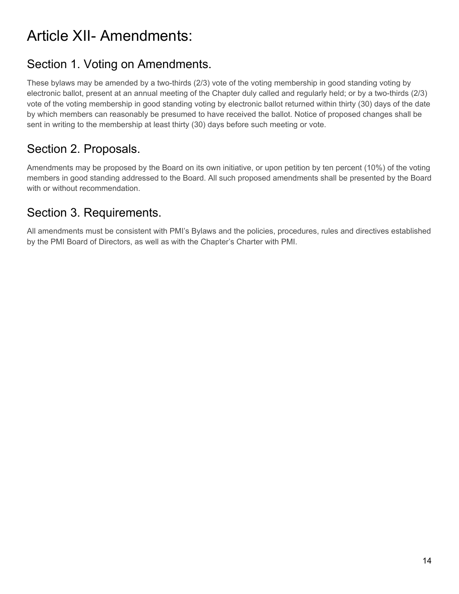# Article XII- Amendments:

# Section 1. Voting on Amendments.

These bylaws may be amended by a two-thirds (2/3) vote of the voting membership in good standing voting by electronic ballot, present at an annual meeting of the Chapter duly called and regularly held; or by a two-thirds (2/3) vote of the voting membership in good standing voting by electronic ballot returned within thirty (30) days of the date by which members can reasonably be presumed to have received the ballot. Notice of proposed changes shall be sent in writing to the membership at least thirty (30) days before such meeting or vote.

# Section 2. Proposals.

Amendments may be proposed by the Board on its own initiative, or upon petition by ten percent (10%) of the voting members in good standing addressed to the Board. All such proposed amendments shall be presented by the Board with or without recommendation.

#### Section 3. Requirements.

All amendments must be consistent with PMI's Bylaws and the policies, procedures, rules and directives established by the PMI Board of Directors, as well as with the Chapter's Charter with PMI.